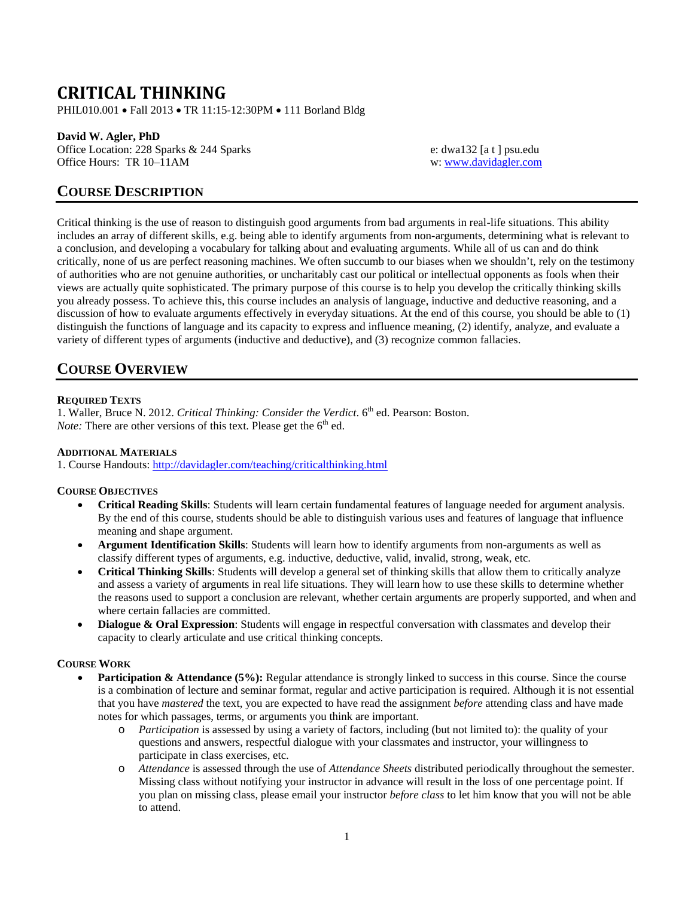# **CRITICAL THINKING**

PHIL010.001 • Fall 2013 • TR 11:15-12:30PM • 111 Borland Bldg

### **David W. Agler, PhD**

Office Location: 228 Sparks & 244 Sparks e: dwa132 [a t ] psu.edu<br>
Office Hours: TR 10–11AM w: www.davidagler.com

w: [www.davidagler.com](http://www.davidagler.com/)

## **COURSE DESCRIPTION**

Critical thinking is the use of reason to distinguish good arguments from bad arguments in real-life situations. This ability includes an array of different skills, e.g. being able to identify arguments from non-arguments, determining what is relevant to a conclusion, and developing a vocabulary for talking about and evaluating arguments. While all of us can and do think critically, none of us are perfect reasoning machines. We often succumb to our biases when we shouldn't, rely on the testimony of authorities who are not genuine authorities, or uncharitably cast our political or intellectual opponents as fools when their views are actually quite sophisticated. The primary purpose of this course is to help you develop the critically thinking skills you already possess. To achieve this, this course includes an analysis of language, inductive and deductive reasoning, and a discussion of how to evaluate arguments effectively in everyday situations. At the end of this course, you should be able to (1) distinguish the functions of language and its capacity to express and influence meaning, (2) identify, analyze, and evaluate a variety of different types of arguments (inductive and deductive), and (3) recognize common fallacies.

# **COURSE OVERVIEW**

### **REQUIRED TEXTS**

1. Waller, Bruce N. 2012. *Critical Thinking: Consider the Verdict*. 6<sup>th</sup> ed. Pearson: Boston. *Note:* There are other versions of this text. Please get the  $6<sup>th</sup>$  ed.

### **ADDITIONAL MATERIALS**

1. Course Handouts:<http://davidagler.com/teaching/criticalthinking.html>

### **COURSE OBJECTIVES**

- **Critical Reading Skills**: Students will learn certain fundamental features of language needed for argument analysis. By the end of this course, students should be able to distinguish various uses and features of language that influence meaning and shape argument.
- **Argument Identification Skills**: Students will learn how to identify arguments from non-arguments as well as classify different types of arguments, e.g. inductive, deductive, valid, invalid, strong, weak, etc.
- **Critical Thinking Skills**: Students will develop a general set of thinking skills that allow them to critically analyze and assess a variety of arguments in real life situations. They will learn how to use these skills to determine whether the reasons used to support a conclusion are relevant, whether certain arguments are properly supported, and when and where certain fallacies are committed.
- **Dialogue & Oral Expression**: Students will engage in respectful conversation with classmates and develop their capacity to clearly articulate and use critical thinking concepts.

### **COURSE WORK**

- **Participation & Attendance (5%):** Regular attendance is strongly linked to success in this course. Since the course is a combination of lecture and seminar format, regular and active participation is required. Although it is not essential that you have *mastered* the text, you are expected to have read the assignment *before* attending class and have made notes for which passages, terms, or arguments you think are important.
	- o *Participation* is assessed by using a variety of factors, including (but not limited to): the quality of your questions and answers, respectful dialogue with your classmates and instructor, your willingness to participate in class exercises, etc.
	- o *Attendance* is assessed through the use of *Attendance Sheets* distributed periodically throughout the semester. Missing class without notifying your instructor in advance will result in the loss of one percentage point. If you plan on missing class, please email your instructor *before class* to let him know that you will not be able to attend.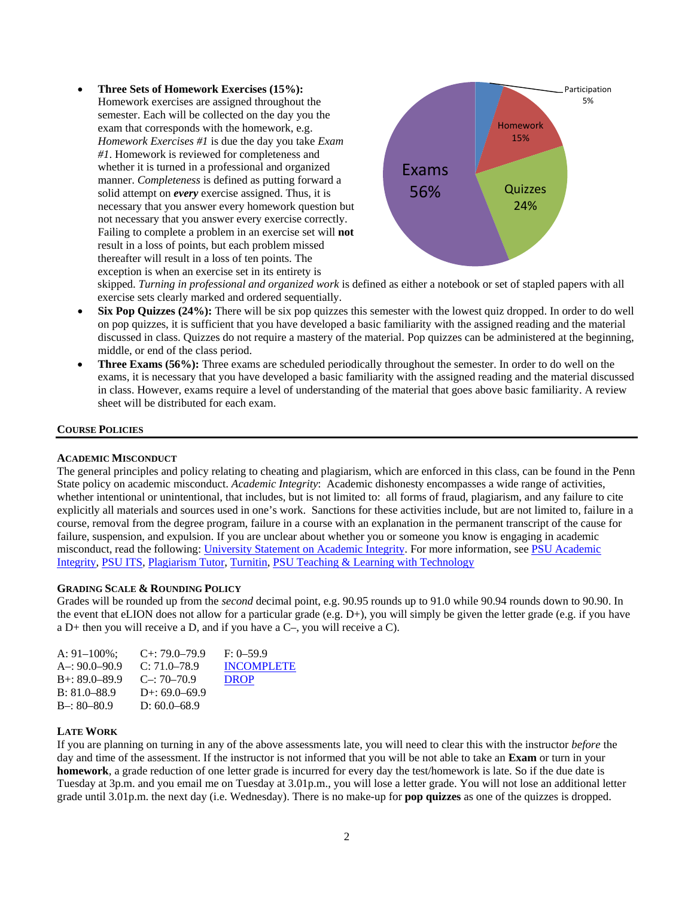• **Three Sets of Homework Exercises (15%):**  Homework exercises are assigned throughout the semester. Each will be collected on the day you the exam that corresponds with the homework, e.g. *Homework Exercises #1* is due the day you take *Exam #1*. Homework is reviewed for completeness and whether it is turned in a professional and organized manner. *Completeness* is defined as putting forward a solid attempt on *every* exercise assigned. Thus, it is necessary that you answer every homework question but not necessary that you answer every exercise correctly. Failing to complete a problem in an exercise set will **not** result in a loss of points, but each problem missed thereafter will result in a loss of ten points. The exception is when an exercise set in its entirety is



skipped. *Turning in professional and organized work* is defined as either a notebook or set of stapled papers with all exercise sets clearly marked and ordered sequentially.

- **Six Pop Quizzes (24%):** There will be six pop quizzes this semester with the lowest quiz dropped. In order to do well on pop quizzes, it is sufficient that you have developed a basic familiarity with the assigned reading and the material discussed in class. Quizzes do not require a mastery of the material. Pop quizzes can be administered at the beginning, middle, or end of the class period.
- **Three Exams (56%):** Three exams are scheduled periodically throughout the semester. In order to do well on the exams, it is necessary that you have developed a basic familiarity with the assigned reading and the material discussed in class. However, exams require a level of understanding of the material that goes above basic familiarity. A review sheet will be distributed for each exam.

#### **COURSE POLICIES**

#### **ACADEMIC MISCONDUCT**

The general principles and policy relating to cheating and plagiarism, which are enforced in this class, can be found in the Penn State policy on academic misconduct. *Academic Integrity*: Academic dishonesty encompasses a wide range of activities, whether intentional or unintentional, that includes, but is not limited to: all forms of fraud, plagiarism, and any failure to cite explicitly all materials and sources used in one's work. Sanctions for these activities include, but are not limited to, failure in a course, removal from the degree program, failure in a course with an explanation in the permanent transcript of the cause for failure, suspension, and expulsion. If you are unclear about whether you or someone you know is engaging in academic misconduct, read the following: [University Statement on Academic Integrity.](http://www.psu.edu/dept/ufs/policies/47-00.html#49-20) For more information, see [PSU Academic](http://www.psu.edu/ufs/policies)  [Integrity,](http://www.psu.edu/ufs/policies) PSU ITS, [Plagiarism Tutor,](http://www.libraries.psu.edu/instruction/infolit/andyou/mod9/plagiarism.htm) [Turnitin,](http://tlt.its.psu.edu/turnitin) [PSU Teaching & Learning with](http://tlt.its.psu.edu/suggestions/cyberplag/) Technology

#### **GRADING SCALE & ROUNDING POLICY**

Grades will be rounded up from the *second* decimal point, e.g. 90.95 rounds up to 91.0 while 90.94 rounds down to 90.90. In the event that eLION does not allow for a particular grade (e.g. D+), you will simply be given the letter grade (e.g. if you have a D+ then you will receive a D, and if you have a C–, you will receive a C).

| A: $91-100\%$ :     | $C_{+}$ : 79.0–79.9 | $F: 0-59.9$       |
|---------------------|---------------------|-------------------|
| $A = 90.0 - 90.9$   | $C: 71.0 - 78.9$    | <b>INCOMPLETE</b> |
| $B_{+}$ : 89.0–89.9 | $C = 70-70.9$       | <b>DROP</b>       |
| $B: 81.0 - 88.9$    | D+: $69.0 - 69.9$   |                   |
| $B-: 80-80.9$       | D: $60.0 - 68.9$    |                   |

#### **LATE WORK**

If you are planning on turning in any of the above assessments late, you will need to clear this with the instructor *before* the day and time of the assessment. If the instructor is not informed that you will be not able to take an **Exam** or turn in your **homework**, a grade reduction of one letter grade is incurred for every day the test/homework is late. So if the due date is Tuesday at 3p.m. and you email me on Tuesday at 3.01p.m., you will lose a letter grade. You will not lose an additional letter grade until 3.01p.m. the next day (i.e. Wednesday). There is no make-up for **pop quizzes** as one of the quizzes is dropped.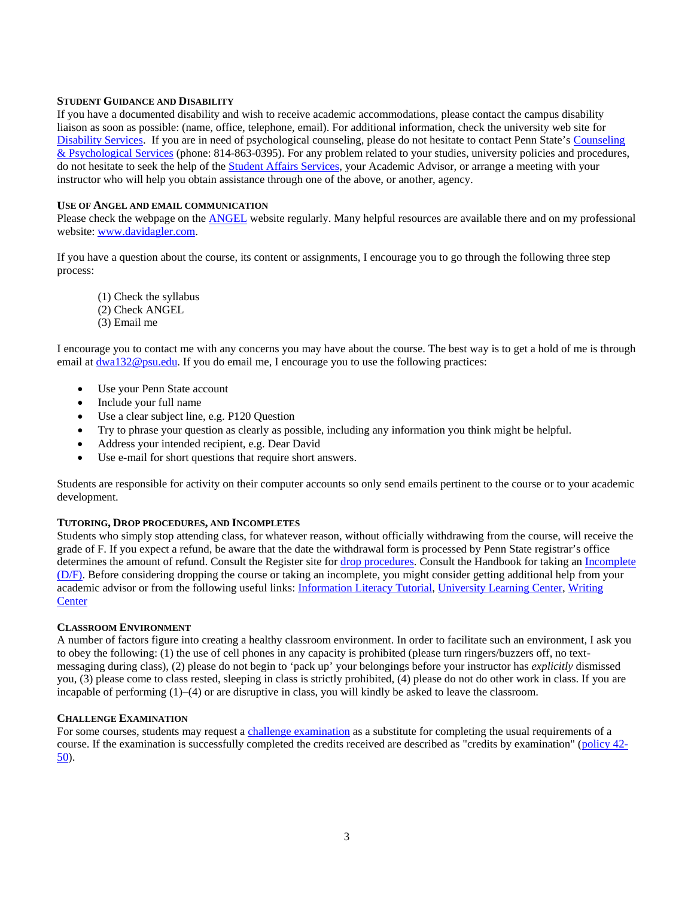#### **STUDENT GUIDANCE AND DISABILITY**

If you have a documented disability and wish to receive academic accommodations, please contact the campus disability liaison as soon as possible: (name, office, telephone, email). For additional information, check the university web site for [Disability Services.](http://www.equity.psu.edu/ods/) If you are in need of psychological counseling, please do not hesitate to contact Penn State's [Counseling](http://www.sa.psu.edu/caps/default.shtml)  [& Psychological Services](http://www.sa.psu.edu/caps/default.shtml) (phone: 814-863-0395). For any problem related to your studies, university policies and procedures, do not hesitate to seek the help of th[e Student Affairs Services,](http://www.sa.psu.edu/services.shtml) your Academic Advisor, or arrange a meeting with your instructor who will help you obtain assistance through one of the above, or another, agency.

#### **USE OF ANGEL AND EMAIL COMMUNICATION**

Please check the webpage on the **ANGEL** website regularly. Many helpful resources are available there and on my professional website: [www.davidagler.com.](http://www.davidagler.com/) 

If you have a question about the course, its content or assignments, I encourage you to go through the following three step process:

(1) Check the syllabus (2) Check ANGEL

(3) Email me

I encourage you to contact me with any concerns you may have about the course. The best way is to get a hold of me is through email at  $dwa132@psu.edu$ . If you do email me, I encourage you to use the following practices:

- Use your Penn State account
- Include your full name
- Use a clear subject line, e.g. P120 Question
- Try to phrase your question as clearly as possible, including any information you think might be helpful.
- Address your intended recipient, e.g. Dear David
- Use e-mail for short questions that require short answers.

Students are responsible for activity on their computer accounts so only send emails pertinent to the course or to your academic development.

### **TUTORING, DROP PROCEDURES, AND INCOMPLETES**

Students who simply stop attending class, for whatever reason, without officially withdrawing from the course, will receive the grade of F. If you expect a refund, be aware that the date the withdrawal form is processed by Penn State registrar's office determines the amount of refund. Consult the Register site fo[r drop procedures.](http://www.registrar.psu.edu/registration/dropping_courses.cfm) Consult the Handbook for taking an [Incomplete](http://www.psu.edu/dus/handbook/dfgrade.html)  [\(D/F\).](http://www.psu.edu/dus/handbook/dfgrade.html) Before considering dropping the course or taking an incomplete, you might consider getting additional help from your academic advisor or from the following useful links: Information [Literacy Tutorial,](http://www.libraries.psu.edu/instruction/infolit/andyou/infoyou.htm) [University Learning Center,](http://php.scripts.psu.edu/dept/ulc/index.php) [Writing](http://www.psu.edu/dept/cew/writingcenter/UWC/index2.htm)  **[Center](http://www.psu.edu/dept/cew/writingcenter/UWC/index2.htm)** 

### **CLASSROOM ENVIRONMENT**

A number of factors figure into creating a healthy classroom environment. In order to facilitate such an environment, I ask you to obey the following: (1) the use of cell phones in any capacity is prohibited (please turn ringers/buzzers off, no textmessaging during class), (2) please do not begin to 'pack up' your belongings before your instructor has *explicitly* dismissed you, (3) please come to class rested, sleeping in class is strictly prohibited, (4) please do not do other work in class. If you are incapable of performing (1)–(4) or are disruptive in class, you will kindly be asked to leave the classroom.

### **CHALLENGE EXAMINATION**

For some courses, students may request [a challenge examination](http://www.registrar.psu.edu/grades/credit_examination.cfm) as a substitute for completing the usual requirements of a course. If the examination is successfully completed the credits received are described as "credits by examination" [\(policy 42-](javascript:openAWindow() [50\)](javascript:openAWindow().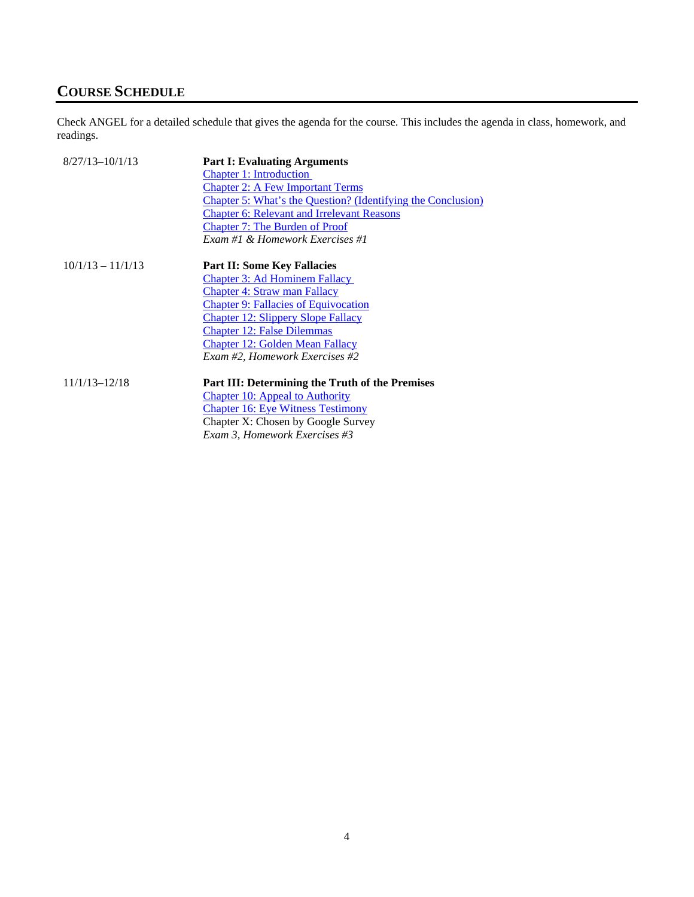# **COURSE SCHEDULE**

Check ANGEL for a detailed schedule that gives the agenda for the course. This includes the agenda in class, homework, and readings.

| $8/27/13 - 10/1/13$ | <b>Part I: Evaluating Arguments</b>                                 |
|---------------------|---------------------------------------------------------------------|
|                     | <b>Chapter 1: Introduction</b>                                      |
|                     | <b>Chapter 2: A Few Important Terms</b>                             |
|                     | <b>Chapter 5: What's the Question? (Identifying the Conclusion)</b> |
|                     | <b>Chapter 6: Relevant and Irrelevant Reasons</b>                   |
|                     | <b>Chapter 7: The Burden of Proof</b>                               |
|                     | Exam #1 & Homework Exercises #1                                     |
|                     |                                                                     |
| $10/1/13 - 11/1/13$ | <b>Part II: Some Key Fallacies</b>                                  |
|                     | <b>Chapter 3: Ad Hominem Fallacy</b>                                |
|                     | <b>Chapter 4: Straw man Fallacy</b>                                 |
|                     | <b>Chapter 9: Fallacies of Equivocation</b>                         |
|                     | <b>Chapter 12: Slippery Slope Fallacy</b>                           |
|                     | <b>Chapter 12: False Dilemmas</b>                                   |
|                     | <b>Chapter 12: Golden Mean Fallacy</b>                              |
|                     | Exam #2, Homework Exercises #2                                      |
|                     |                                                                     |
| $11/1/13 - 12/18$   | Part III: Determining the Truth of the Premises                     |
|                     | Chapter 10: Appeal to Authority                                     |
|                     | <b>Chapter 16: Eye Witness Testimony</b>                            |
|                     | Chapter X: Chosen by Google Survey                                  |
|                     | Exam 3, Homework Exercises #3                                       |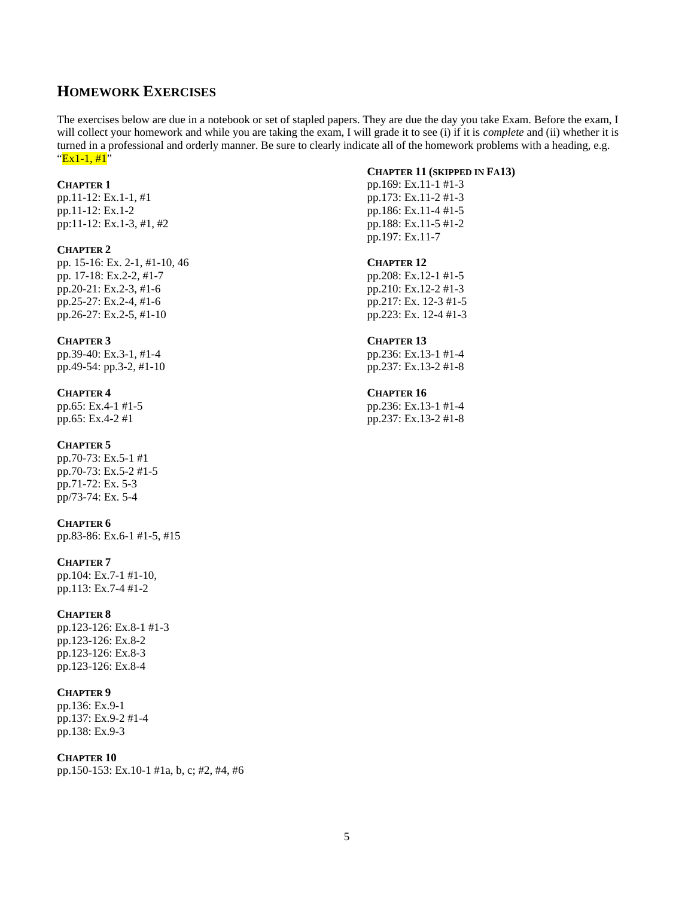## **HOMEWORK EXERCISES**

The exercises below are due in a notebook or set of stapled papers. They are due the day you take Exam. Before the exam, I will collect your homework and while you are taking the exam, I will grade it to see (i) if it is *complete* and (ii) whether it is turned in a professional and orderly manner. Be sure to clearly indicate all of the homework problems with a heading, e.g.  $"Ex1-1, #1"$ 

#### **CHAPTER 1**

pp.11-12: Ex.1-1, #1 pp.11-12: Ex.1-2 pp:11-12: Ex.1-3, #1, #2

### **CHAPTER 2**

pp. 15-16: Ex. 2-1, #1-10, 46 pp. 17-18: Ex.2-2, #1-7 pp.20-21: Ex.2-3, #1-6 pp.25-27: Ex.2-4, #1-6 pp.26-27: Ex.2-5, #1-10

#### **CHAPTER 3**

pp.39-40: Ex.3-1, #1-4 pp.49-54: pp.3-2, #1-10

#### **CHAPTER 4**

pp.65: Ex.4-1 #1-5 pp.65: Ex.4-2 #1

#### **CHAPTER 5**

pp.70-73: Ex.5-1 #1 pp.70-73: Ex.5-2 #1-5 pp.71-72: Ex. 5-3 pp/73-74: Ex. 5-4

#### **CHAPTER 6**

pp.83-86: Ex.6-1 #1-5, #15

#### **CHAPTER 7**

pp.104: Ex.7-1 #1-10, pp.113: Ex.7-4 #1-2

#### **CHAPTER 8**

pp.123-126: Ex.8-1 #1-3 pp.123-126: Ex.8-2 pp.123-126: Ex.8-3 pp.123-126: Ex.8-4

## **CHAPTER 9**

pp.136: Ex.9-1 pp.137: Ex.9-2 #1-4 pp.138: Ex.9-3

#### **CHAPTER 10**

pp.150-153: Ex.10-1 #1a, b, c; #2, #4, #6

#### **CHAPTER 11 (SKIPPED IN FA13)**

pp.169: Ex.11-1 #1-3 pp.173: Ex.11-2 #1-3 pp.186: Ex.11-4 #1-5 pp.188: Ex.11-5 #1-2 pp.197: Ex.11-7

### **CHAPTER 12**

pp.208: Ex.12-1 #1-5 pp.210: Ex.12-2 #1-3 pp.217: Ex. 12-3 #1-5 pp.223: Ex. 12-4 #1-3

#### **CHAPTER 13**

pp.236: Ex.13-1 #1-4 pp.237: Ex.13-2 #1-8

## **CHAPTER 16**

pp.236: Ex.13-1 #1-4 pp.237: Ex.13-2 #1-8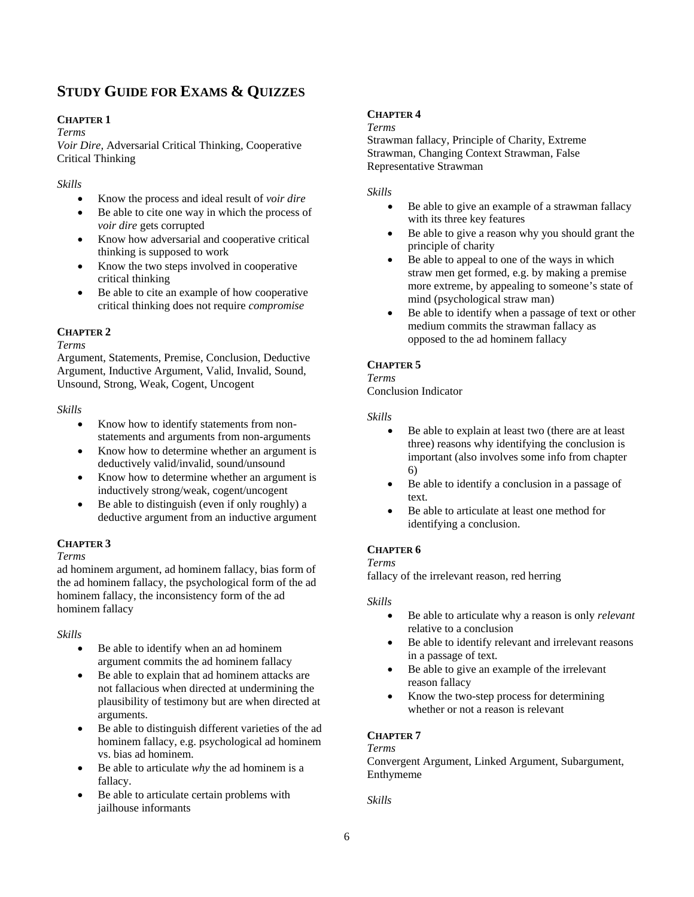# **STUDY GUIDE FOR EXAMS & QUIZZES**

## <span id="page-5-0"></span>**CHAPTER 1**

#### *Terms*

*Voir Dire,* Adversarial Critical Thinking, Cooperative Critical Thinking

*Skills*

- Know the process and ideal result of *voir dire*
- Be able to cite one way in which the process of *voir dire* gets corrupted
- Know how adversarial and cooperative critical thinking is supposed to work
- Know the two steps involved in cooperative critical thinking
- Be able to cite an example of how cooperative critical thinking does not require *compromise*

## <span id="page-5-1"></span>**CHAPTER 2**

*Terms*

Argument, Statements, Premise, Conclusion, Deductive Argument, Inductive Argument, Valid, Invalid, Sound, Unsound, Strong, Weak, Cogent, Uncogent

### *Skills*

- Know how to identify statements from nonstatements and arguments from non-arguments
- Know how to determine whether an argument is deductively valid/invalid, sound/unsound
- Know how to determine whether an argument is inductively strong/weak, cogent/uncogent
- Be able to distinguish (even if only roughly) a deductive argument from an inductive argument

## <span id="page-5-5"></span>**CHAPTER 3**

*Terms*

ad hominem argument, ad hominem fallacy, bias form of the ad hominem fallacy, the psychological form of the ad hominem fallacy, the inconsistency form of the ad hominem fallacy

### *Skills*

- Be able to identify when an ad hominem argument commits the ad hominem fallacy
- Be able to explain that ad hominem attacks are not fallacious when directed at undermining the plausibility of testimony but are when directed at arguments.
- Be able to distinguish different varieties of the ad hominem fallacy, e.g. psychological ad hominem vs. bias ad hominem.
- Be able to articulate *why* the ad hominem is a fallacy.
- Be able to articulate certain problems with jailhouse informants

## <span id="page-5-6"></span>**CHAPTER 4**

#### *Terms*

Strawman fallacy, Principle of Charity, Extreme Strawman, Changing Context Strawman, False Representative Strawman

### *Skills*

- Be able to give an example of a strawman fallacy with its three key features
- Be able to give a reason why you should grant the principle of charity
- Be able to appeal to one of the ways in which straw men get formed, e.g. by making a premise more extreme, by appealing to someone's state of mind (psychological straw man)
- Be able to identify when a passage of text or other medium commits the strawman fallacy as opposed to the ad hominem fallacy

## <span id="page-5-2"></span>**CHAPTER 5**

## *Terms*

Conclusion Indicator

#### *Skills*

- Be able to explain at least two (there are at least three) reasons why identifying the conclusion is important (also involves some info from chapter 6)
- Be able to identify a conclusion in a passage of text.
- Be able to articulate at least one method for identifying a conclusion.

## <span id="page-5-3"></span>**CHAPTER 6**

### *Terms*

fallacy of the irrelevant reason, red herring

### *Skills*

- Be able to articulate why a reason is only *relevant*  relative to a conclusion
- Be able to identify relevant and irrelevant reasons in a passage of text.
- Be able to give an example of the irrelevant reason fallacy
- Know the two-step process for determining whether or not a reason is relevant

## <span id="page-5-4"></span>**CHAPTER 7**

## *Terms*

Convergent Argument, Linked Argument, Subargument, Enthymeme

*Skills*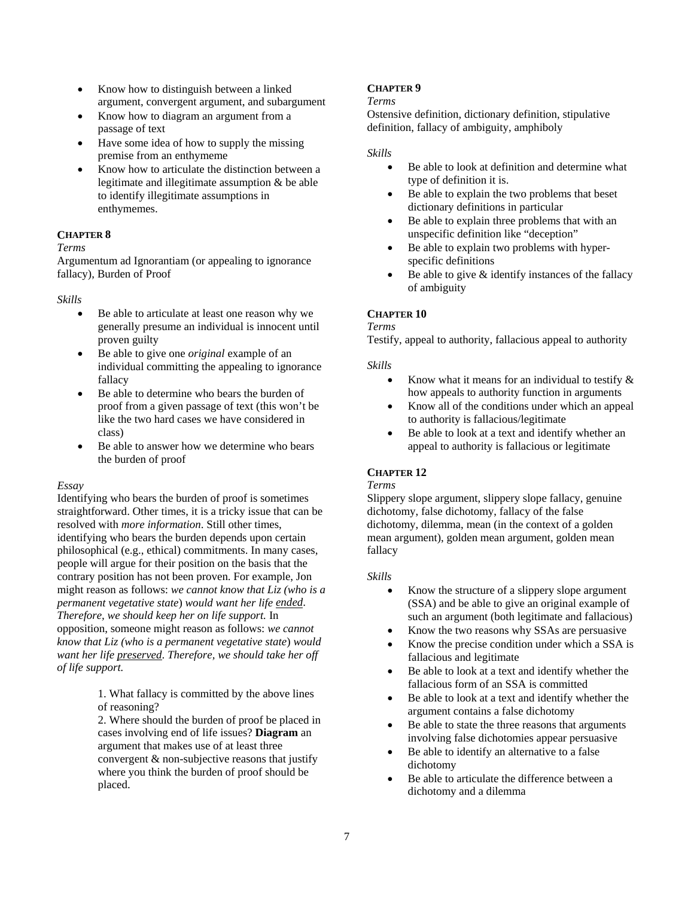- Know how to distinguish between a linked argument, convergent argument, and subargument
- Know how to diagram an argument from a passage of text
- Have some idea of how to supply the missing premise from an enthymeme
- Know how to articulate the distinction between a legitimate and illegitimate assumption & be able to identify illegitimate assumptions in enthymemes.

## **CHAPTER 8**

### *Terms*

Argumentum ad Ignorantiam (or appealing to ignorance fallacy), Burden of Proof

## *Skills*

- Be able to articulate at least one reason why we generally presume an individual is innocent until proven guilty
- Be able to give one *original* example of an individual committing the appealing to ignorance fallacy
- Be able to determine who bears the burden of proof from a given passage of text (this won't be like the two hard cases we have considered in class)
- Be able to answer how we determine who bears the burden of proof

### *Essay*

Identifying who bears the burden of proof is sometimes straightforward. Other times, it is a tricky issue that can be resolved with *more information*. Still other times, identifying who bears the burden depends upon certain philosophical (e.g., ethical) commitments. In many cases, people will argue for their position on the basis that the contrary position has not been proven. For example, Jon might reason as follows: *we cannot know that Liz (who is a permanent vegetative state*) *would want her life ended*. *Therefore, we should keep her on life support.* In opposition, someone might reason as follows: *we cannot know that Liz (who is a permanent vegetative state*) *would want her life preserved*. *Therefore, we should take her off of life support.*

> 1. What fallacy is committed by the above lines of reasoning?

2. Where should the burden of proof be placed in cases involving end of life issues? **Diagram** an argument that makes use of at least three convergent & non-subjective reasons that justify where you think the burden of proof should be placed.

## <span id="page-6-0"></span>**CHAPTER 9**

#### *Terms*

Ostensive definition, dictionary definition, stipulative definition, fallacy of ambiguity, amphiboly

#### *Skills*

- Be able to look at definition and determine what type of definition it is.
- Be able to explain the two problems that beset dictionary definitions in particular
- Be able to explain three problems that with an unspecific definition like "deception"
- Be able to explain two problems with hyperspecific definitions
- Be able to give  $\&$  identify instances of the fallacy of ambiguity

## <span id="page-6-2"></span>**CHAPTER 10**

#### *Terms*

Testify, appeal to authority, fallacious appeal to authority

### *Skills*

- Know what it means for an individual to testify  $\&$ how appeals to authority function in arguments
- Know all of the conditions under which an appeal to authority is fallacious/legitimate
- Be able to look at a text and identify whether an appeal to authority is fallacious or legitimate

## <span id="page-6-1"></span>**CHAPTER 12**

### *Terms*

Slippery slope argument, slippery slope fallacy, genuine dichotomy, false dichotomy, fallacy of the false dichotomy, dilemma, mean (in the context of a golden mean argument), golden mean argument, golden mean fallacy

### *Skills*

- Know the structure of a slippery slope argument (SSA) and be able to give an original example of such an argument (both legitimate and fallacious)
- Know the two reasons why SSAs are persuasive
- Know the precise condition under which a SSA is fallacious and legitimate
- Be able to look at a text and identify whether the fallacious form of an SSA is committed
- Be able to look at a text and identify whether the argument contains a false dichotomy
- Be able to state the three reasons that arguments involving false dichotomies appear persuasive
- Be able to identify an alternative to a false dichotomy
- Be able to articulate the difference between a dichotomy and a dilemma